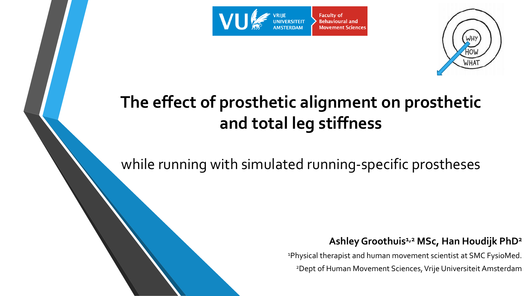



## **The effect of prosthetic alignment on prosthetic and total leg stiffness**

## while running with simulated running-specific prostheses

#### **Ashley Groothuis1,2 MSc, Han Houdijk PhD<sup>2</sup>**

<sup>1</sup>Physical therapist and human movement scientist at SMC FysioMed. 2Dept of Human Movement Sciences, Vrije Universiteit Amsterdam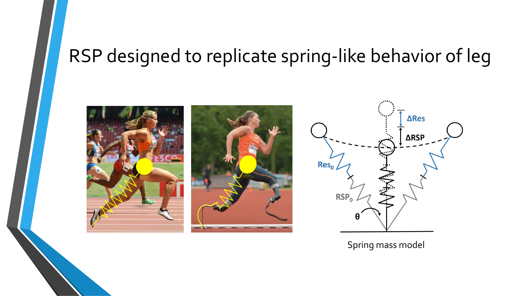## RSP designed to replicate spring-like behavior of leg



Spring mass model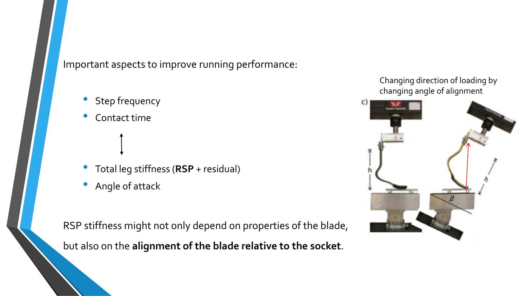Important aspects to improve running performance:

- Step frequency
- Contact time

- Total leg stiffness (**RSP** + residual)
- Angle of attack

RSP stiffness might not only depend on properties of the blade, but also on the **alignment of the blade relative to the socket**.

Changing direction of loading by changing angle of alignment

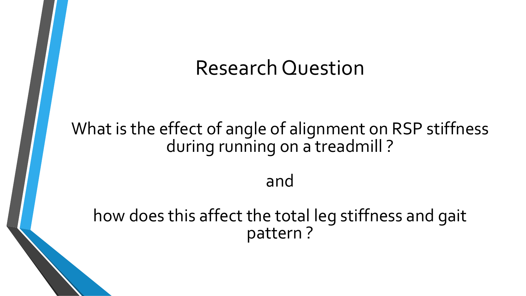## Research Question

## What is the effect of angle of alignment on RSP stiffness during running on a treadmill ?

and

how does this affect the total leg stiffness and gait pattern ?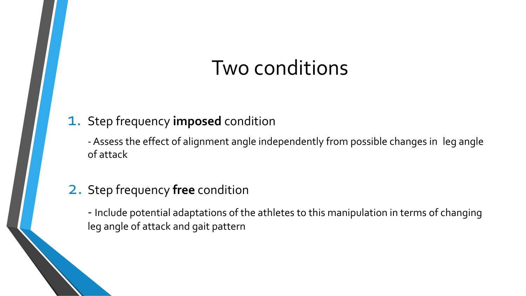## Two conditions

### 1. Step frequency **imposed** condition

-Assess the effect of alignment angle independently from possible changes in leg angle of attack

### 2. Step frequency **free** condition

- Include potential adaptations of the athletes to this manipulation in terms of changing leg angle of attack and gait pattern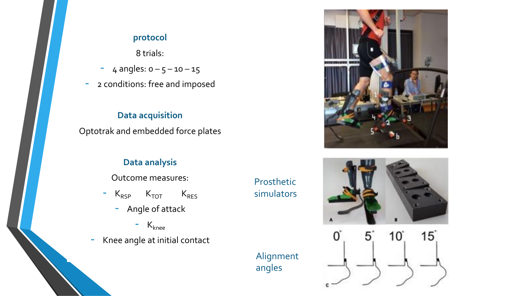#### **protocol**

8 trials:

- $4$  angles:  $0 5 10 15$
- 2 conditions: free and imposed

#### **Data acquisition**

Optotrak and embedded force plates

#### **Data analysis**

Outcome measures:

- $-K_{RSP}$   $K_{TOT}$   $K_{RES}$ 
	- Angle of attack
		- $-K_{knee}$
- Knee angle at initial contact

Prosthetic simulators

Alignment angles





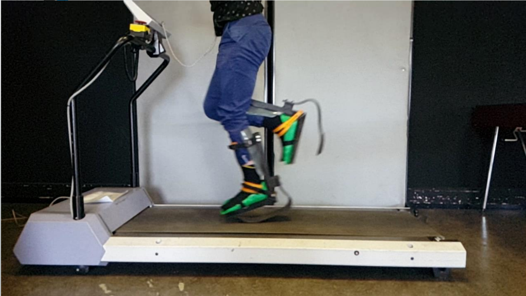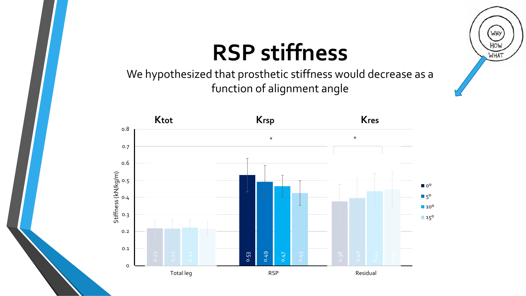# **RSP stiffness**

WHY

HOV WHA<sup>-</sup>

We hypothesized that prosthetic stiffness would decrease as a function of alignment angle

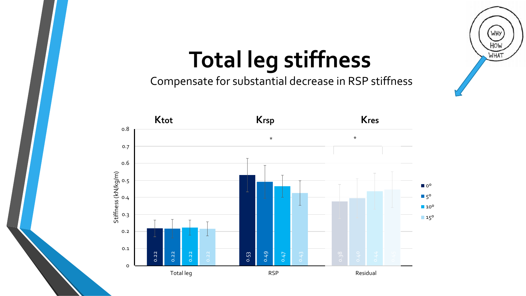# **Total leg stiffness**

Compensate for substantial decrease in RSP stiffness



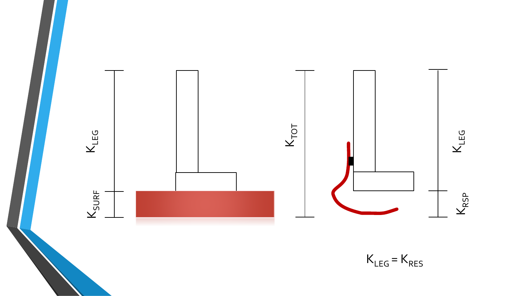

 $K_{LEG} = K_{RES}$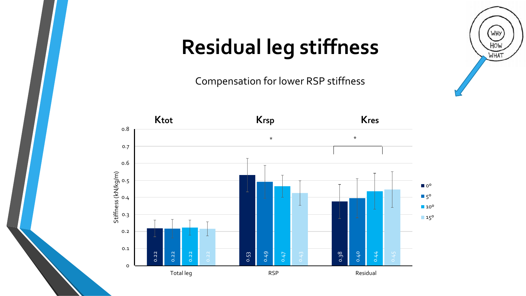

# **Residual leg stiffness**

Compensation for lower RSP stiffness

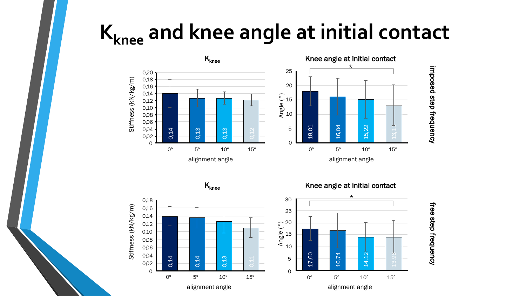# **Kknee and knee angle at initial contact**



5

0





free step frequency free step frequency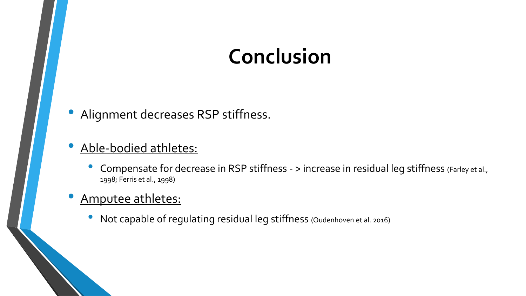# **Conclusion**

### Alignment decreases RSP stiffness.

### Able-bodied athletes:

• Compensate for decrease in RSP stiffness - > increase in residual leg stiffness (Farley et al., 1998; Ferris et al., 1998)

### Amputee athletes:

• Not capable of regulating residual leg stiffness (Oudenhoven et al. 2016)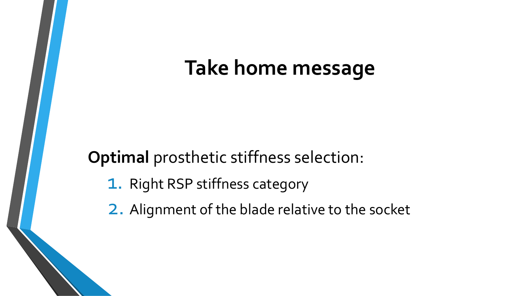## **Take home message**

**Optimal** prosthetic stiffness selection:

- 1. Right RSP stiffness category
- 2. Alignment of the blade relative to the socket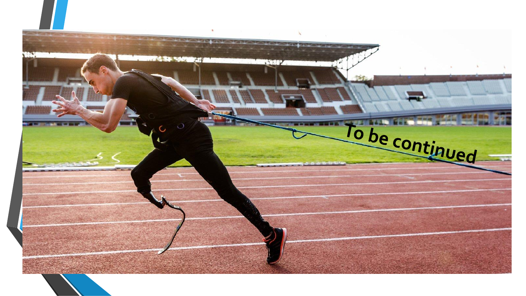